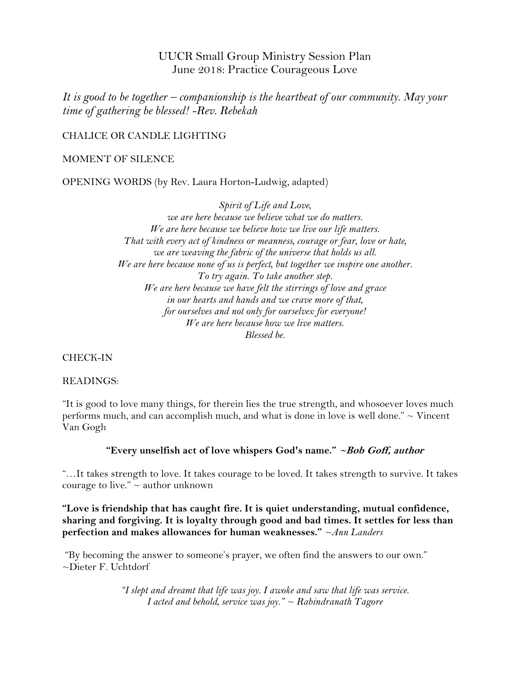UUCR Small Group Ministry Session Plan June 2018: Practice Courageous Love

*It is good to be together – companionship is the heartbeat of our community. May your time of gathering be blessed! -Rev. Rebekah*

CHALICE OR CANDLE LIGHTING

MOMENT OF SILENCE

OPENING WORDS (by Rev. Laura Horton-Ludwig, adapted)

*Spirit of Life and Love, we are here because we believe what we do matters. We are here because we believe how we live our life matters. That with every act of kindness or meanness, courage or fear, love or hate, we are weaving the fabric of the universe that holds us all. We are here because none of us is perfect, but together we inspire one another. To try again. To take another step. We are here because we have felt the stirrings of love and grace in our hearts and hands and we crave more of that, for ourselves and not only for ourselves: for everyone! We are here because how we live matters. Blessed be.*

CHECK-IN

# READINGS:

"It is good to love many things, for therein lies the true strength, and whosoever loves much performs much, and can accomplish much, and what is done in love is well done."  $\sim$  Vincent Van Gogh

# **"Every unselfish act of love whispers God's name." ~Bob Goff, author**

"…It takes strength to love. It takes courage to be loved. It takes strength to survive. It takes courage to live."  $\sim$  author unknown

**"Love is friendship that has caught fire. It is quiet understanding, mutual confidence, sharing and forgiving. It is loyalty through good and bad times. It settles for less than perfection and makes allowances for human weaknesses."** *~Ann Landers*

"By becoming the answer to someone's prayer, we often find the answers to our own." ~Dieter F. Uchtdorf

> *"I slept and dreamt that life was joy. I awoke and saw that life was service. I acted and behold, service was joy." ~ Rabindranath Tagore*